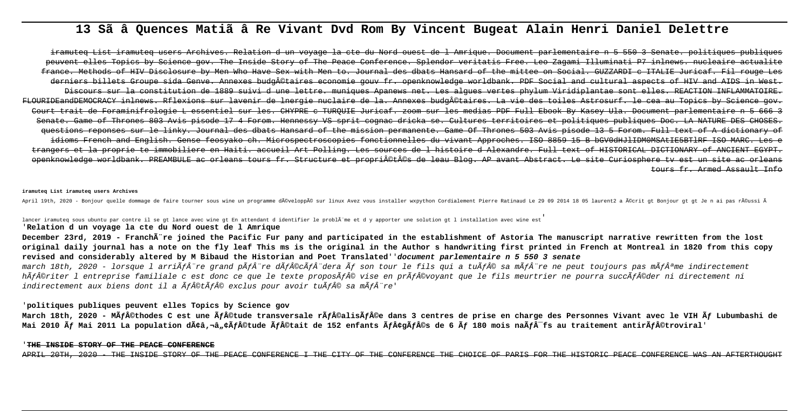# 13 Sã â Quences Matiã â Re Vivant Dvd Rom By Vincent Bugeat Alain Henri Daniel Delettre

iramuteg List iramuteg users Archives. Relation d un vovage la ete du Nord ouest de l Amrigue. Document parlementaire n 5 550 3 Senate, politiques publiques peuvent elles Topics by Science goy. The Inside Story of The Peace Conference, Splendor veritatis Free, Leo Zagami Illuminati P7 inlnews, nucleaire actua Methods of HIV Disclosure by Men Who Have Sex with Men to. Journal des dbats Hansard of the mittee on Social. GUZZARDI c ITALIE Juricaf. Fi rs billets Groupe side Genye. Annexes budg©taires economie gouy fr. openknowledge worldbank. PDF Social and cultural aspects of HIV and AIDS Discours sur la constitution de 1889 suivi d une lettre, muniques Apanews net. Les algues vertes phylum Viridiplantae sont elles, REACTION INFLAMMATOIRE. FLOURIDEandDEMOCRACY inlnews. Rflexions sur lavenir de lnergie nuclaire de la. Annexes budgÂ@taires. La vie des toiles Astrosurf. Je cea au Topics by Court trait de Foraminifrologie L essentiel sur les. CHYPRE e TUROUIE Juricaf, zoom sur les medias PDF Full Ebook By Kasey Ula, Document parlementaire n Senate, Game of Thrones 803 Avis pisode 17 4 Forom. Hennessy VS sprit cognac dricka se, Cultures territoires et politiques publiques Doc. LA NATURE guestions reponses sur le linky. Journal des dbats Hansard of the mission permanente, Game Of Thrones 503 Avis pisode 13 5 Forom, Full text idioms French and English. Gense feosyako ch. Microspectroscopies fonctionnelles du vivant Approches. ISO 8859 15 B bGV0dHJlIDMOMSAtIE5BTlRF trangers et la proprie te immobiliere en Haiti, accueil Art Polling. Les sources de l'histoire d'Alexandre, Full text of HISTORICAL DICTIONARY of ANCIENT EGYPT openknowledge worldbank. PREAMBULE ac orleans tours fr. Structure et propriÂ@tÂ@s de leau Blog. AP avant Abstract. Le site Curiosphere ty est un site ac orleans 

#### iramuteg List iramuteg users Archives

April 19th, 2020 - Bonjour quelle dommage de faire tourner sous wine un programme développé sur linux Avez vous installer wxpython Cordialement Pierre Ratinaud Le 29 09 2014 18 05 laurent2 a écrit gt Bonjour gt gt Je n

lancer iramuteg sous ubuntu par contre il se gt lance avec wine gt En attendant d identifier le problà me et d y apporter une solution gt l installation avec wine est

## 'Relation d un voyage la cte du Nord ouest de l Amrique

December 23rd, 2019 - Franchare joined the Pacific Fur pany and participated in the establishment of Astoria The manuscript narrative rewritten from the lost original daily journal has a note on the fly leaf This ms is the original in the Author s handwriting first printed in French at Montreal in 1820 from this copy revised and considerably altered by M Bibaud the Historian and Poet Translated' document parlementaire n 5 550 3 senate

march 18th, 2020 - lorsque l arriÃfÂ"re grand pÃfÂ"re dÃf©cÃfÂ"dera Ãf son tour le fils qui a tuÃf© sa mÃfÂ"re ne peut toujours pas mÃfªme indirectement hÃf©riter l'entreprise familiale c'est donc ce que le texte proposÃf© vise en prÃf©vovant que le fils meurtrier ne pourra succÃf©der ni directement ni indirectement aux biens dont il a  $\tilde{A}f\hat{A}\odot\tilde{A}f\hat{A}\odot$  exclus pour avoir tu $\tilde{A}f\hat{A}\odot$  sa m $\tilde{A}f\hat{A}''$ re'

## 'politiques publiques peuvent elles Topics by Science gov

March 18th, 2020 - MÃf©thodes C est une Ãf©tude transversale rÃf©alisÃf©e dans 3 centres de prise en charge des Personnes Vivant avec le VIH Ãf Lubumbashi de Mai 2010 Ấf Mai 2011 La population dââ, a e va fantude Ãfâ©tait de 152 enfants ÃfâçgÃfâ©s de 6 Ấf 180 mois naÃfâ<sup>-</sup>fs au traitement antirÃfâ©troviral'

## THE INSIDE STORY OF THE PEACE CONFERENCE

THE INSIDE STORY OF THE PEACE CONFERENCE I THE CITY OF THE CONFERENCE THE CHOICE OF PARIS FOR THE HISTORIC PEACE CONFERENCE WAS AN AFTERTHOUGHT APRIL 20TH, 2020 -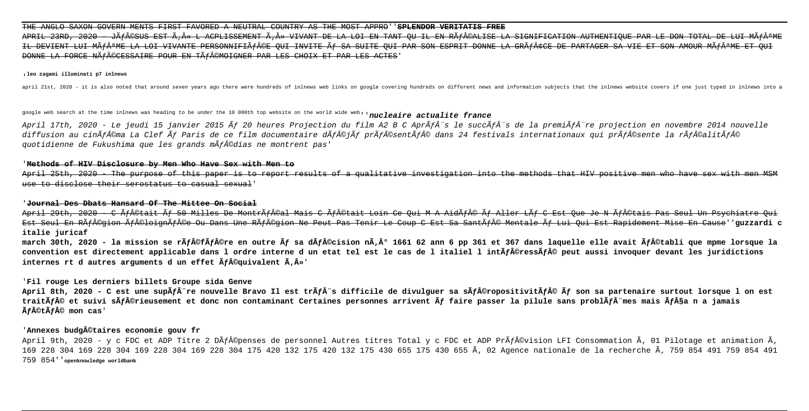## THE ANGLO SAXON GOVERN MENTS FIRST FAVORED A NEUTRAL COUNTRY AS THE MOST APPRO''**SPLENDOR VERITATIS FREE**

APRIL 23RD, 2020 - JéSUS EST « L ACPLISSEMENT » VIVANT DE LA LOI EN TANT QU IL EN RéALISE LA SIGNIFICATION AUTHENTIQUE PAR LE DON TOTAL DE LUI MêME IL DEVIENT LUI MÃ FÂAME LA LOI VIVANTE DEBSONNIEIÃ FÂQE QUI INVITE Ã LOA SUITE QUI PAR SON ESPRIT DONNE LA CRÂFÂFCE DE PARTACER SA DONNE LA FORCE NéCESSAIRE POUR EN TéMOIGNER PAR LES CHOIX ET PAR LES ACTES'

#### '**leo zagami illuminati p7 inlnews**

april 21st, 2020 - it is also noted that around seven years ago there were hundreds of inlnews web links on google covering hundreds on different news and information subjects that the inlnews website covers if one just ty

google web search at the time inlnews was heading to be under the 10 000th top website on the world wide web''**nucleaire actualite france**

April 17th, 2020 - Le jeudi 15 janvier 2015 Ấf 20 heures Projection du film A2 B C AprÃfÂ"s le succÃfÂ"s de la premiÃfÂ"re projection en novembre 2014 nouvelle diffusion au cinÃf©ma La Clef Ấf Paris de ce film documentaire dÃf©jÃf prÃf©sentÃf© dans 24 festivals internationaux qui prÃf©sente la rÃf©alitÃf© quotidienne de Fukushima que les grands mÃf©dias ne montrent pas'

## '**Methods of HIV Disclosure by Men Who Have Sex with Men to**

April 25th, 2020 - The purpose of this paper is to report results of a qualitative investigation into the methods that HIV positive men who have sex with use to disclose their serostatus to casual sexual'

# '**Journal Des Dbats Hansard Of The Mittee On Social**

April 29th, 2020 - C Af©tait Af 50 Milles De MontrAf©al Mais C Af©tait Loin Ce Oui M A AidÃf© Af Aller LAf C Est Oue Je N Af©tais Pas Seul Un Psychiatre Est Seul En Région éloignée Ou Dans Une Région Ne Peut Pas Tenir Le Coup C Est Sa Santé Mentale à Lui Qui Est Rapidement Mise En Cause''**guzzardi c italie juricaf**

march 30th, 2020 - la mission se rãfâ©fãfâ©re en outre ãf sa dãfâ©cision nã,â° 1661 62 ann 6 pp 361 et 367 dans laquelle elle avait ãfâ©tabli que mpme lorsque la convention est directement applicable dans 1 ordre interne d un etat tel est le cas de 1 italiel 1 intÃf©ressÃf© peut aussi invoquer devant les juridictions internes rt d autres arguments d un effet  $\tilde{A}f\hat{A}$ ©guivalent  $\tilde{A}$ . $\hat{A}$ »'

# '**Fil rouge Les derniers billets Groupe sida Genve**

April 8th, 2020 - C est une sup<del>a</del>ña re nouvelle Bravo Il est trãña s difficile de divulquer sa sãfa©ropositivitãfa © ãf son sa partenaire surtout lorsque l on est traitÃf© et suivi sÃf©rieusement et donc non contaminant Certaines personnes arrivent Ãf faire passer la pilule sans problÃfÂ"mes mais Ãf§a n a jamais  $\tilde{A}$ fâ©t $\tilde{A}$ fâ© mon cas'

# '**Annexes budg©taires economie gouv fr**

April 9th, 2020 - y c FDC et ADP Titre 2 DÃf©penses de personnel Autres titres Total y c FDC et ADP PrÃf©vision LFI Consommation Ã, 01 Pilotage et animation Ã, 169 228 304 169 228 304 169 228 304 169 228 304 175 420 132 175 420 132 175 430 655 175 430 655 02 Agence nationale de la recherche 759 854 491 759 854 491 759 854''**openknowledge worldbank**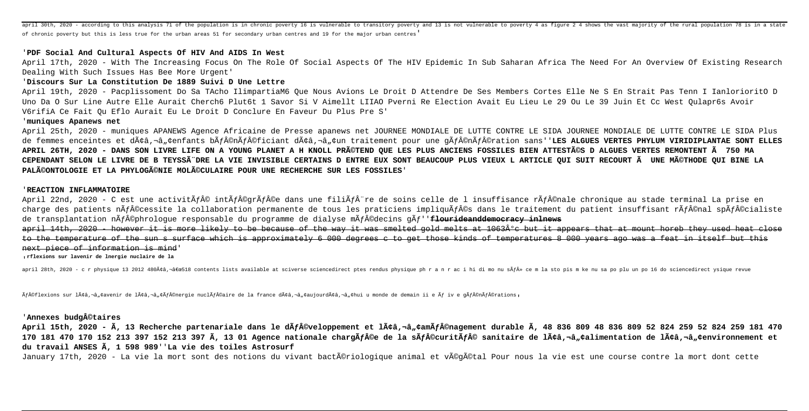april 30th, 2020 - according to this analysis 71 of the population is in chronic poverty 16 is vulnerable to transitory poverty and 13 is not vulnerable to poverty 4 as figure 2 4 shows the vast majority of the rural popul of chronic poverty but this is less true for the urban areas 51 for secondary urban centres and 19 for the major urban centres'

## 'PDF Social And Cultural Aspects Of HIV And AIDS In West

April 17th, 2020 - With The Increasing Focus On The Role Of Social Aspects Of The HIV Epidemic In Sub Saharan Africa The Need For An Overview Of Existing Research Dealing With Such Issues Has Bee More Urgent'

## 'Discours Sur La Constitution De 1889 Suivi D Une Lettre

April 19th, 2020 - Pacplissoment Do Sa TAcho IlimpartiaM6 Oue Nous Avions Le Droit D Attendre De Ses Members Cortes Elle Ne S En Strait Pas Tenn I IanlorioritO D Uno Da O Sur Line Autre Elle Aurait Cherch6 Plut6t 1 Savor Si V Aimellt LIIAO Pverni Re Election Avait Eu Lieu Le 29 Ou Le 39 Juin Et Cc West Oulapr6s Avoir V6rifiA Ce Fait Ou Eflo Aurait Eu Le Droit D Conclure En Faveur Du Plus Pre S'

## 'muniques Apanews net

April 25th, 2020 - muniques APANEWS Agence Africaine de Presse apanews net JOURNEE MONDIALE DE LUTTE CONTRE LE SIDA JOURNEE MONDIALE DE LUTTE CONTRE LE SIDA Plus de femmes enceintes et dââ.¬â"¢enfants bÃf©nÃf©ficiant dââ.¬â"¢un traitement pour une gÃf©nÃf©ration sans''LES ALGUES VERTES PHYLUM VIRIDIPLANTAE SONT ELLES APRIL 26TH, 2020 - DANS SON LIVRE LIFE ON A YOUNG PLANET A H KNOLL PR©TEND OUE LES PLUS ANCIENS FOSSILES BIEN ATTESTéS D ALGUES VERTES REMONTENT Ã 750 MA CEPENDANT SELON LE LIVRE DE B TEYSSÃ"DRE LA VIE INVISIBLE CERTAINS D ENTRE EUX SONT BEAUCOUP PLUS VIEUX L ARTICLE OUI SUIT RECOURT à UNE MéTHODE OUI BINE LA PALéONTOLOGIE ET LA PHYLOGéNIE MOLéCULAIRE POUR UNE RECHERCHE SUR LES FOSSILES

## 'REACTION INFLAMMATOIRE

April 22nd, 2020 - C est une activitÃf© intÃf©qrÃf©e dans une filiÃf re de soins celle de l insuffisance rÃf©nale chronique au stade terminal La prise en charge des patients nÃf©cessite la collaboration permanente de tous les praticiens impliquÃf©s dans le traitement du patient insuffisant rÃf©nal spÃf©cialiste de transplantation nÃf©phrologue responsable du programme de dialyse mÃf©decins gÃf''**f<del>lourideanddemocracy inlnews</del>** 

april 14th, 2020 however it is more likely to be because of the way it was smelted gold melts at 1063ºc but it appears that at mount horeb they used heat to the temperature of the sun s surface which is approximately 6 000 degrees c to get those kinds of temperatures 8 000 years ago was a feat in itself but next piece of information is mind

rflexions sur lavenir de lnergie nuclaire de la

april 28th, 2020 - c r physique 13 2012 480ââ,-"518 contents lists available at sciverse sciencedirect ptes rendus physique ph r a n r ac i hi di mo nu sÃf» ce m la sto pis m ke nu sa po plu un po 16 do sciencedirect y

Ãf©flexions sur lââ,¬â"¢avenir de lââ,¬â"¢Ãf©nergie nuclÃf©aire de la france dââ,¬â"¢aujourdââ,¬â"¢hui u monde de demain ii e Ãf iv e gÃf©nÃf©rations,

# 'Annexes budgâ©taires

April 15th, 2020 - Ã, 13 Recherche partenariale dans le dÃf©veloppement et lââ,¬â, camÃf©nagement durable Ã, 48 836 809 48 836 809 52 824 259 52 824 259 181 470 170 181 470 170 152 213 397 152 213 397 Ã, 13 01 Agence nationale chargÃf©e de la sÃf©curitÃf© sanitaire de lââ,¬â"¢alimentation de lââ,¬â"¢environnement et du travail ANSES Ã, 1 598 989 'La vie des toiles Astrosurf

January 17th, 2020 - La vie la mort sont des notions du vivant bactériologique animal et véqétal Pour nous la vie est une course contre la mort dont cette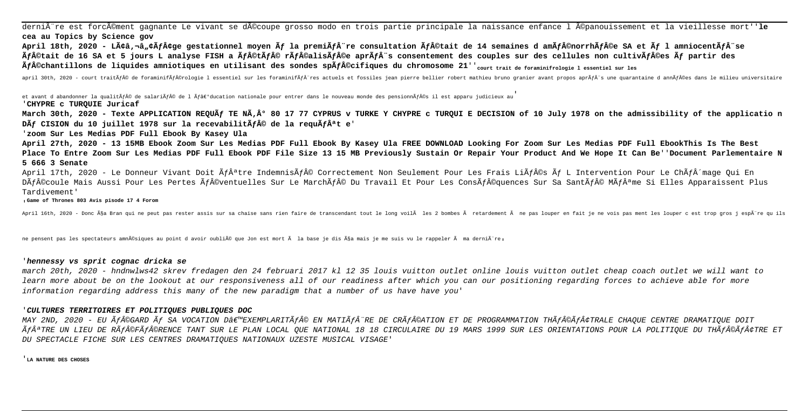dernière est forcément gagnante Le vivant se découpe grosso modo en trois partie principale la naissance enfance l épanouissement et la vieillesse mort''**le cea au Topics by Science gov**

April 18th, 2020 - Lââ, a a cĂfâçqe qestationnel moyen Ấf la premiẤf re consultation Ấf©tait de 14 semaines d amÃf©norrhÃf©e SA et Ấf l amniocentÃf se Ãf©tait de 16 SA et 5 jours L analyse FISH a Ãf©tÃf© rÃf©elisÃf©e aprÃfÂ"s consentement des couples sur des cellules non cultivÃf©es Ãf partir des  $\tilde{A}f\hat{A}\odot$ chantillons de liquides amniotiques en utilisant des sondes sp $\tilde{A}f\hat{A}\odot$ cifiques du chromosome 21''<sub>court trait de foraminifrologie l essentiel sur les</sub>

april 30th, 2020 - court traitÃf© de foraminifÃf©rologie l essentiel sur les foraminifÃfÂ~res actuels et fossiles jean pierre bellier robert mathieu bruno granier avant propos aprÃfÂ~s une quarantaine d annÃf©es dans le

et avant d abandonner la qualitÃf© de salariÃf© de l Ãf›ducation nationale pour entrer dans le nouveau monde des pensionnÃf©s il est apparu judicieux au '**CHYPRE c TURQUIE Juricaf**

March 30th, 2020 - Texte APPLICATION REQUÃf TE NÃ,° 80 17 77 CYPRUS v TURKE Y CHYPRE c TURQUI E DECISION of 10 July 1978 on the admissibility of the applicatio n Dà f CISION du 10 juillet 1978 sur la recevabilità fâ® de la requà fâªt e'

'**zoom Sur Les Medias PDF Full Ebook By Kasey Ula**

**April 27th, 2020 - 13 15MB Ebook Zoom Sur Les Medias PDF Full Ebook By Kasey Ula FREE DOWNLOAD Looking For Zoom Sur Les Medias PDF Full EbookThis Is The Best Place To Entre Zoom Sur Les Medias PDF Full Ebook PDF File Size 13 15 MB Previously Sustain Or Repair Your Product And We Hope It Can Be**''**Document Parlementaire N 5 666 3 Senate**

April 17th, 2020 - Le Donneur Vivant Doit Ãfªtre IndemnisÃf© Correctement Non Seulement Pour Les Frais LiÃf©s Ãf L Intervention Pour Le ChÃfÂ^mage Oui En DÃf©coule Mais Aussi Pour Les Pertes Ãf©ventuelles Sur Le MarchÃf© Du Travail Et Pour Les ConsÃf©quences Sur Sa SantÃf© MÃfªme Si Elles Apparaissent Plus Tardivement'

'**Game of Thrones 803 Avis pisode 17 4 Forom**

April 16th, 2020 - Donc ça Bran qui ne peut pas rester assis sur sa chaise sans rien faire de transcendant tout le long voilĂ les 2 bombes Ă retardement à ne pas louper en fait je ne vois pas ment les louper c est trop gr

ne pensent pas les spectateurs amnésiques au point d avoir oublié que Jon est mort à la base je dis ça mais je me suis vu le rappeler à ma derniÃ"re.

## '**hennessy vs sprit cognac dricka se**

march 20th, 2020 - hndnwlws42 skrev fredagen den 24 februari 2017 kl 12 35 louis vuitton outlet online louis vuitton outlet cheap coach outlet we will want to learn more about be on the lookout at our responsiveness all of our readiness after which you can our positioning regarding forces to achieve able for more information regarding address this many of the new paradigm that a number of us have have you'

#### '**CULTURES TERRITOIRES ET POLITIQUES PUBLIQUES DOC**

MAY 2ND, 2020 - EU Ãf©GARD Ãf SA VOCATION D'EXEMPLARITÃf© EN MATIÃfÂ~RE DE CRÃf©ATION ET DE PROGRAMMATION THÃf©Ãf¢TRALE CHAQUE CENTRE DRAMATIQUE DOIT ÃfªTRE UN LIEU DE RÃf©FÃf©RENCE TANT SUR LE PLAN LOCAL QUE NATIONAL 18 18 CIRCULAIRE DU 19 MARS 1999 SUR LES ORIENTATIONS POUR LA POLITIQUE DU THÃf©Ãf¢TRE ET DU SPECTACLE FICHE SUR LES CENTRES DRAMATIQUES NATIONAUX UZESTE MUSICAL VISAGE'

'**LA NATURE DES CHOSES**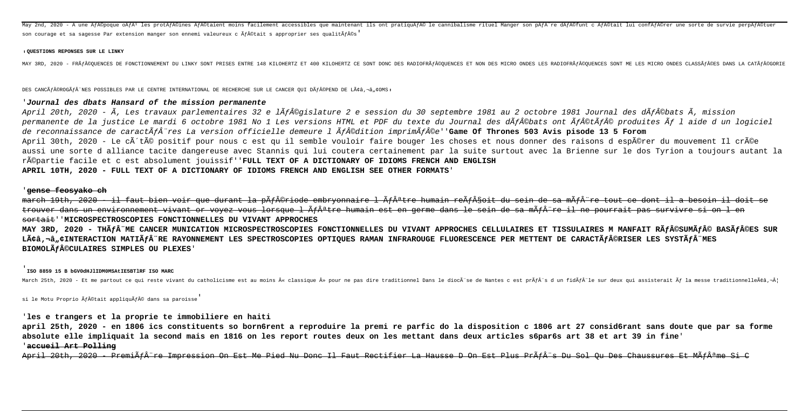May 2nd, 2020 - A une Ãf©poque oÃfÂ<sup>i</sup> les protĂf©ines Ăf©taient moins facilement accessibles que maintenant ils ont pratiquÃf© le cannibalisme rituel Manger son pÃfÂ~re dÃf©funt c Ăf©tait lui confĂf©rer une sorte d son courage et sa sagesse Par extension manger son ennemi valeureux c Ãf©tait s approprier ses qualitÃf©s'

#### **QUESTIONS REPONSES SUR LE LINKY**

MAY 3RD. 2020 – FRÃÍ©OURNCES DE FONCTIONNEMENT DU LINKY SONT PRISES ENTER 148 KILOHERTZ ET 400 KILOHERTZ CE SONT DONC DES RADIOFRÃÍ©OUENCES ET NON DES MICRO ONDES LES RADIOFRÃÍ©OUENCES SONT ME LES MICRO ONDES CLASSÃÍ©E

DES CANCà f©ROGà f "NES POSSIBLES PAR LE CENTRE INTERNATIONAL DE RECHERCHE SUR LE CANCER OUI Dà f©PEND DE Lââ,-à.¢OMS.

## '**Journal des dbats Hansard of the mission permanente**

April 20th, 2020 - Ã, Les travaux parlementaires 32 e lÃf©gislature 2 e session du 30 septembre 1981 au 2 octobre 1981 Journal des dÃf©bats Ã, mission permanente de la justice Le mardi 6 octobre 1981 No 1 Les versions HTML et PDF du texte du Journal des dÃf©bats ont Ãf©tÃf© produites Ãf l aide d un logiciel de reconnaissance de caractÃfÂ<sup>-</sup>res La version officielle demeure l Ãf©dition imprimÃf©e''**Game Of Thrones 503 Avis pisode 13 5 Forom** April 30th, 2020 - Le côté positif pour nous c est qu il semble vouloir faire bouger les choses et nous donner des raisons d espérer du mouvement Il crée aussi une sorte d alliance tacite dangereuse avec Stannis qui lui coutera certainement par la suite surtout avec la Brienne sur le dos Tyrion a toujours autant la répartie facile et c est absolument jouissif''**FULL TEXT OF A DICTIONARY OF IDIOMS FRENCH AND ENGLISH APRIL 10TH, 2020 - FULL TEXT OF A DICTIONARY OF IDIOMS FRENCH AND ENGLISH SEE OTHER FORMATS**'

### '**gense feosyako ch**

march 19th, 2020 - il faut bien voir que durant la p<del>ÃfÂ@riode embrvonnaire l Ãfªtre humain reÃfÂ\$oit du sein de sa mÃfÂ"re tout ce dont il a besoin il</del> trouver dans un environnement vivant or voyez vous lorsque l Ãfªtre humain est en germe dans le sein de sa mÂf¨re il ne pourrait pas survivre si on l en sortait''**MICROSPECTROSCOPIES FONCTIONNELLES DU VIVANT APPROCHES**

MAY 3RD, 2020 - THÃ*f* ME CANCER MUNICATION MICROSPECTROSCOPIES FONCTIONNELLES DU VIVANT APPROCHES CELLULAIRES ET TISSULAIRES M MANFAIT RÃ $f$ ©SUMÃ $f$ © BASÃ $f$ ©ES SUR Lââ,-a.¢INTERACTION MATIÃ*f*Â"RE RAYONNEMENT LES SPECTROSCOPIES OPTIOUES RAMAN INFRAROUGE FLUORESCENCE PER METTENT DE CARACTÃ*f*©RISER LES SYSTÃ*f*Â"MES **BIOMOLà F©CULAIRES SIMPLES OU PLEXES'** 

## '**ISO 8859 15 B bGV0dHJlIDM0MSAtIE5BTlRF ISO MARC**

March 25th, 2020 – Et me partout ce qui reste vivant du catholicisme est au moins « classique » pour ne pas dire traditionnel Dans le diocĂ"se de Nantes c est prĂfÂ"s d'un fidÃfÂ"le sur deux qui assisterait Ãf la messe t

si le Motu Proprio Ãf©tait appliquÃf© dans sa paroisse

## '**les e trangers et la proprie te immobiliere en haiti**

**april 25th, 2020 - en 1806 ics constituents so born6rent a reproduire la premi re parfic do la disposition c 1806 art 27 consid6rant sans doute que par sa forme absolute elle impliquait la second mais en 1816 on les report routes deux on les mettant dans deux articles s6par6s art 38 et art 39 in fine**' '**accueil Art Polling**

April 20th, 2020 - PremiÄf re Impression On Est Me Pied Nu Donc Il Faut Rectifier La Hausse D On Est Plus PrÂf o Du Sol Ou Des Chaussures Et MÃf me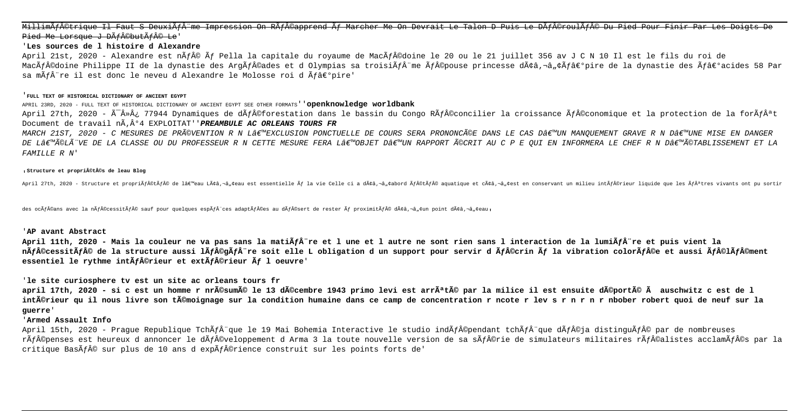MillimÃf©trigue Il Faut S DeuxiÃf me Impression On RÃf©apprend Ãf Marcher Me On Devrait Le Talon D Puis Le DÂf©roulÃf© Du Pied Pour Finir Par Les Doigts De Pied Me Lorsque J DÃf©butÃf© Le

# '**Les sources de l histoire d Alexandre**

April 21st, 2020 - Alexandre est nÃf© Ãf Pella la capitale du royaume de MacÃf©doine le 20 ou le 21 juillet 356 av J C N 10 Il est le fils du roi de MacÃf©doine Philippe II de la dynastie des ArgÃf©ades et d Olympias sa troisiÃfÂ~me Ãf©pouse princesse dââ.¬â"¢Ãf‰pire de la dynastie des Ãf‰acides 58 Par sa m $\tilde{A}$ fâ re il est donc le neveu d Alexandre le Molosse roi d  $\tilde{A}$ fâ $\epsilon$ °pire'

#### '**FULL TEXT OF HISTORICAL DICTIONARY OF ANCIENT EGYPT**

## APRIL 23RD, 2020 - FULL TEXT OF HISTORICAL DICTIONARY OF ANCIENT EGYPT SEE OTHER FORMATS''**openknowledge worldbank**

April 27th, 2020 -  $\tilde{A}^-\hat{A}^*\hat{A}^*$  77944 Dynamiques de d $\tilde{A}f\hat{A}$ ©forestation dans le bassin du Congo R $\tilde{A}f\hat{A}^0$ concilier la croissance  $\tilde{A}f\hat{A}^0$ Conomique et la protection de la for $\tilde{A}f\hat{A}^a$ Document de travail n°4 EXPLOITAT''**PREAMBULE AC ORLEANS TOURS FR**

MARCH 21ST, 2020 - C MESURES DE PRéVENTION R N L'EXCLUSION PONCTUELLE DE COURS SERA PRONONCéE DANS LE CAS D'UN MANOUEMENT GRAVE R N D'UNE MISE EN DANGER DE L۪̩LèVE DE LA CLASSE OU DU PROFESSEUR R N CETTE MESURE FERA L€™OBJET D€™UN RAPPORT éCRIT AU C P E OUI EN INFORMERA LE CHEF R N D€™Ã©TABLISSEMENT ET LA FAMILLE R N'

#### '**Structure et propri©t©s de leau Blog**

April 27th, 2020 - Structure et propriĕf©tĕf© de l'eau Lââ,-â,∉eau est essentielle ễf la vie Celle ci a dââ,-â,∉abord Ãf©tÃf© aquatique et cââ,-â,∉est en conservant un milieu intÃf©rieur liquide que les Ãfâªtres

des ocÃf©ans avec la nÃf©cessitÃf© sauf pour quelques espÃf™ces adaptÃf©es au dÃf©sert de rester Ãf proximitÃf© dââ,¬â"¢un point dââ,¬â"¢eau,

# '**AP avant Abstract**

April 11th, 2020 - Mais la couleur ne va pas sans la mati**Âfâ** re et l une et l autre ne sont rien sans l interaction de la lumiÃf re et puis vient la nÃf©cessitÃf© de la structure aussi lÃf©gÃfÂ<sup>"</sup>re soit elle L obligation d un support pour servir d Ãf©crin Ãf la vibration colorÃf©e et aussi Ãf©lÃf©ment essentiel le rythme int $\tilde{A}$ fâ©rieur et ext $\tilde{A}$ fâ©rieur  $\tilde{A}$ f l oeuvre'

## '**le site curiosphere tv est un site ac orleans tours fr**

**april 17th, 2020 - si c est un homme r nrésumé le 13 décembre 1943 primo levi est arrêté par la milice il est ensuite déporté à auschwitz c est de l intérieur qu il nous livre son témoignage sur la condition humaine dans ce camp de concentration r ncote r lev s r n r n r nbober robert quoi de neuf sur la guerre**'

# '**Armed Assault Info**

April 15th, 2020 - Prague Republique TchÃf que le 19 Mai Bohemia Interactive le studio indÃf©pendant tchÃf que dÃf©ja distinguÃf© par de nombreuses rÃf©penses est heureux d annoncer le dÃf©veloppement d Arma 3 la toute nouvelle version de sa sÃf©rie de simulateurs militaires rÃf©alistes acclamÃf©s par la critique Bas $\tilde{A}$ f $\hat{A}$ © sur plus de 10 ans d exp $\tilde{A}$ f $\hat{A}$ ©rience construit sur les points forts de'